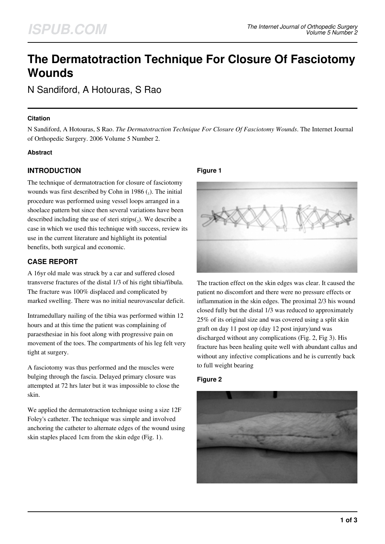# **The Dermatotraction Technique For Closure Of Fasciotomy Wounds**

N Sandiford, A Hotouras, S Rao

#### **Citation**

N Sandiford, A Hotouras, S Rao. *The Dermatotraction Technique For Closure Of Fasciotomy Wounds*. The Internet Journal of Orthopedic Surgery. 2006 Volume 5 Number 2.

#### **Abstract**

## **INTRODUCTION**

The technique of dermatotraction for closure of fasciotomy wounds was first described by Cohn in 1986 $($ <sub>1</sub>). The initial procedure was performed using vessel loops arranged in a shoelace pattern but since then several variations have been described including the use of steri  $\text{strips}(2)$ . We describe a case in which we used this technique with success, review its use in the current literature and highlight its potential benefits, both surgical and economic.

## **CASE REPORT**

A 16yr old male was struck by a car and suffered closed transverse fractures of the distal 1/3 of his right tibia/fibula. The fracture was 100% displaced and complicated by marked swelling. There was no initial neurovascular deficit.

Intramedullary nailing of the tibia was performed within 12 hours and at this time the patient was complaining of paraesthesiae in his foot along with progressive pain on movement of the toes. The compartments of his leg felt very tight at surgery.

A fasciotomy was thus performed and the muscles were bulging through the fascia. Delayed primary closure was attempted at 72 hrs later but it was impossible to close the skin.

We applied the dermatotraction technique using a size 12F Foley's catheter. The technique was simple and involved anchoring the catheter to alternate edges of the wound using skin staples placed 1cm from the skin edge (Fig. 1).

#### **Figure 1**



The traction effect on the skin edges was clear. It caused the patient no discomfort and there were no pressure effects or inflammation in the skin edges. The proximal 2/3 his wound closed fully but the distal 1/3 was reduced to approximately 25% of its original size and was covered using a split skin graft on day 11 post op (day 12 post injury)and was discharged without any complications (Fig. 2, Fig 3). His fracture has been healing quite well with abundant callus and without any infective complications and he is currently back to full weight bearing

#### **Figure 2**

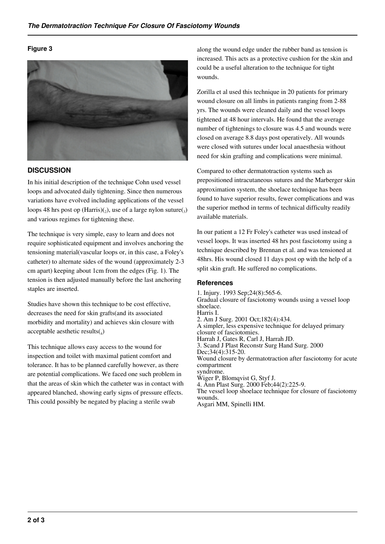#### **Figure 3**



#### **DISCUSSION**

In his initial description of the technique Cohn used vessel loops and advocated daily tightening. Since then numerous variations have evolved including applications of the vessel loops 48 hrs post op  $(Harris)(_2)$ , use of a large nylon suture $(_3)$ and various regimes for tightening these.

The technique is very simple, easy to learn and does not require sophisticated equipment and involves anchoring the tensioning material(vascular loops or, in this case, a Foley's catheter) to alternate sides of the wound (approximately 2-3 cm apart) keeping about 1cm from the edges (Fig. 1). The tension is then adjusted manually before the last anchoring staples are inserted.

Studies have shown this technique to be cost effective, decreases the need for skin grafts(and its associated morbidity and mortality) and achieves skin closure with acceptable aesthetic results $(_{4})$ 

This technique allows easy access to the wound for inspection and toilet with maximal patient comfort and tolerance. It has to be planned carefully however, as there are potential complications. We faced one such problem in that the areas of skin which the catheter was in contact with appeared blanched, showing early signs of pressure effects. This could possibly be negated by placing a sterile swab

along the wound edge under the rubber band as tension is increased. This acts as a protective cushion for the skin and could be a useful alteration to the technique for tight wounds.

Zorilla et al used this technique in 20 patients for primary wound closure on all limbs in patients ranging from 2-88 yrs. The wounds were cleaned daily and the vessel loops tightened at 48 hour intervals. He found that the average number of tightenings to closure was 4.5 and wounds were closed on average 8.8 days post operatively. All wounds were closed with sutures under local anaesthesia without need for skin grafting and complications were minimal.

Compared to other dermatotraction systems such as prepositioned intracutaneous sutures and the Marberger skin approximation system, the shoelace technique has been found to have superior results, fewer complications and was the superior method in terms of technical difficulty readily available materials.

In our patient a 12 Fr Foley's catheter was used instead of vessel loops. It was inserted 48 hrs post fasciotomy using a technique described by Brennan et al. and was tensioned at 48hrs. His wound closed 11 days post op with the help of a split skin graft. He suffered no complications.

#### **References**

1. Injury. 1993 Sep;24(8):565-6. Gradual closure of fasciotomy wounds using a vessel loop shoelace. Harris I. 2. Am J Surg. 2001 Oct;182(4):434. A simpler, less expensive technique for delayed primary closure of fasciotomies. Harrah J, Gates R, Carl J, Harrah JD. 3. Scand J Plast Reconstr Surg Hand Surg. 2000 Dec: 34(4): 315-20. Wound closure by dermatotraction after fasciotomy for acute compartment syndrome. Wiger P, Blomqvist G, Styf J. 4. Ann Plast Surg. 2000 Feb;44(2):225-9. The vessel loop shoelace technique for closure of fasciotomy wounds. Asgari MM, Spinelli HM.